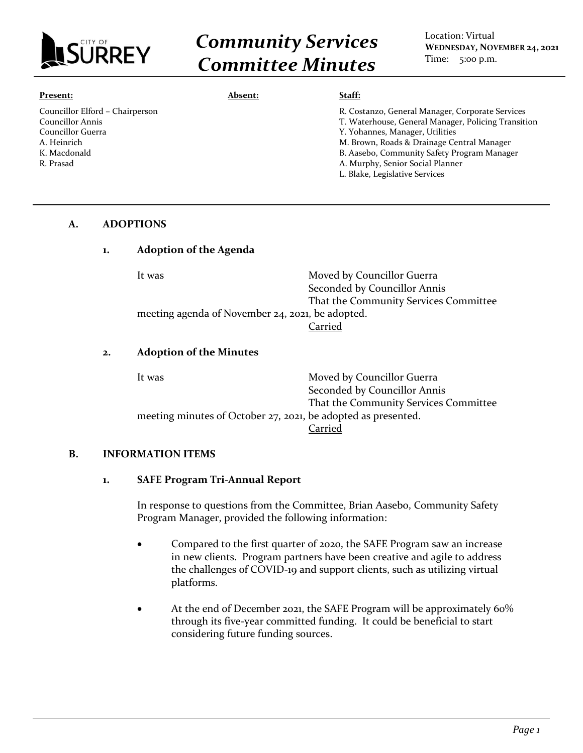

# *Community Services Committee Minutes*

Location: Virtual **WEDNESDAY, NOVEMBER 24, 2021** Time: 5:00 p.m.

#### **Present:**

Councillor Elford – Chairperson Councillor Annis Councillor Guerra A. Heinrich K. Macdonald R. Prasad

#### **Absent: Staff:**

| R. Costanzo, General Manager, Corporate Services    |
|-----------------------------------------------------|
| T. Waterhouse, General Manager, Policing Transition |
| Y. Yohannes, Manager, Utilities                     |
| M. Brown, Roads & Drainage Central Manager          |
| B. Aasebo, Community Safety Program Manager         |
| A. Murphy, Senior Social Planner                    |
| L. Blake, Legislative Services                      |
|                                                     |

#### **A. ADOPTIONS**

### **1. Adoption of the Agenda**

| It was                                           | Moved by Councillor Guerra            |
|--------------------------------------------------|---------------------------------------|
|                                                  | Seconded by Councillor Annis          |
|                                                  | That the Community Services Committee |
| meeting agenda of November 24, 2021, be adopted. |                                       |
|                                                  | Carried                               |

#### **2. Adoption of the Minutes**

| It was                                                        | Moved by Councillor Guerra            |
|---------------------------------------------------------------|---------------------------------------|
|                                                               | Seconded by Councillor Annis          |
|                                                               | That the Community Services Committee |
| meeting minutes of October 27, 2021, be adopted as presented. |                                       |
|                                                               | Carried                               |

#### **B. INFORMATION ITEMS**

#### **1. SAFE Program Tri-Annual Report**

In response to questions from the Committee, Brian Aasebo, Community Safety Program Manager, provided the following information:

- Compared to the first quarter of 2020, the SAFE Program saw an increase in new clients. Program partners have been creative and agile to address the challenges of COVID-19 and support clients, such as utilizing virtual platforms.
- At the end of December 2021, the SAFE Program will be approximately 60% through its five-year committed funding. It could be beneficial to start considering future funding sources.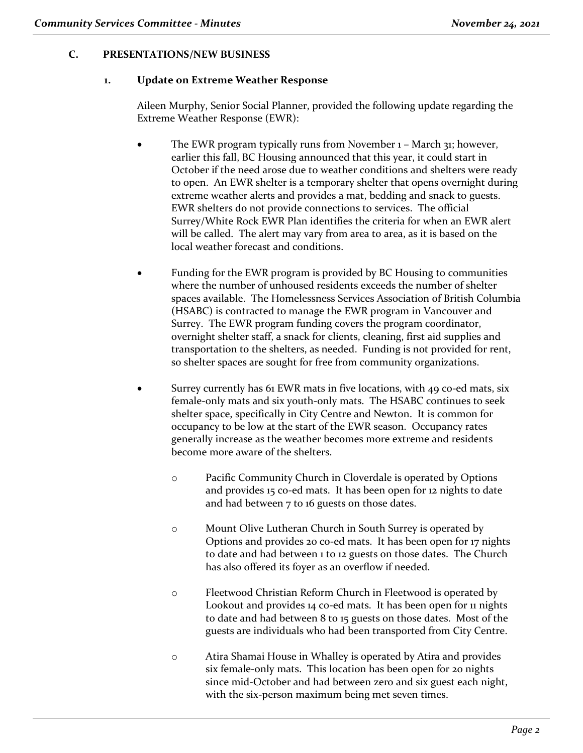# **C. PRESENTATIONS/NEW BUSINESS**

### **1. Update on Extreme Weather Response**

Aileen Murphy, Senior Social Planner, provided the following update regarding the Extreme Weather Response (EWR):

- The EWR program typically runs from November 1 March 31; however, earlier this fall, BC Housing announced that this year, it could start in October if the need arose due to weather conditions and shelters were ready to open. An EWR shelter is a temporary shelter that opens overnight during extreme weather alerts and provides a mat, bedding and snack to guests. EWR shelters do not provide connections to services. The official Surrey/White Rock EWR Plan identifies the criteria for when an EWR alert will be called. The alert may vary from area to area, as it is based on the local weather forecast and conditions.
- Funding for the EWR program is provided by BC Housing to communities where the number of unhoused residents exceeds the number of shelter spaces available. The Homelessness Services Association of British Columbia (HSABC) is contracted to manage the EWR program in Vancouver and Surrey. The EWR program funding covers the program coordinator, overnight shelter staff, a snack for clients, cleaning, first aid supplies and transportation to the shelters, as needed. Funding is not provided for rent, so shelter spaces are sought for free from community organizations.
- Surrey currently has 61 EWR mats in five locations, with 49 co-ed mats, six female-only mats and six youth-only mats. The HSABC continues to seek shelter space, specifically in City Centre and Newton. It is common for occupancy to be low at the start of the EWR season. Occupancy rates generally increase as the weather becomes more extreme and residents become more aware of the shelters.
	- o Pacific Community Church in Cloverdale is operated by Options and provides 15 co-ed mats. It has been open for 12 nights to date and had between 7 to 16 guests on those dates.
	- o Mount Olive Lutheran Church in South Surrey is operated by Options and provides 20 co-ed mats. It has been open for 17 nights to date and had between 1 to 12 guests on those dates. The Church has also offered its foyer as an overflow if needed.
	- o Fleetwood Christian Reform Church in Fleetwood is operated by Lookout and provides 14 co-ed mats. It has been open for 11 nights to date and had between 8 to 15 guests on those dates. Most of the guests are individuals who had been transported from City Centre.
	- o Atira Shamai House in Whalley is operated by Atira and provides six female-only mats. This location has been open for 20 nights since mid-October and had between zero and six guest each night, with the six-person maximum being met seven times.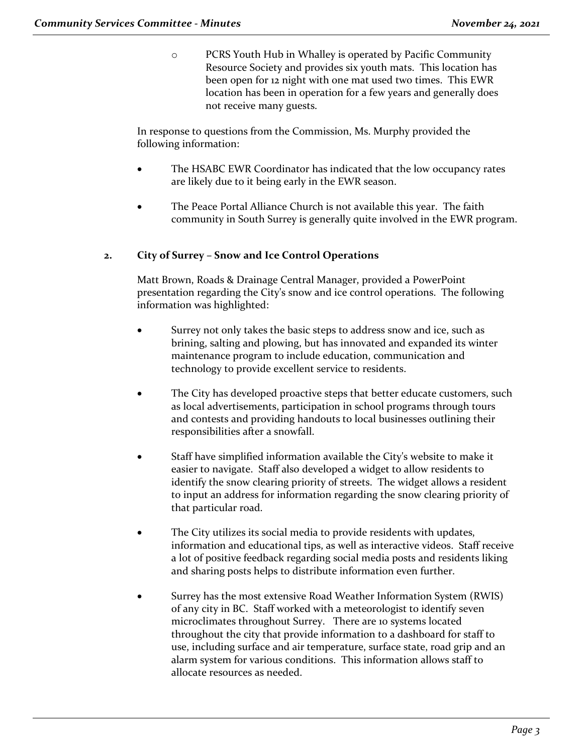o PCRS Youth Hub in Whalley is operated by Pacific Community Resource Society and provides six youth mats. This location has been open for 12 night with one mat used two times. This EWR location has been in operation for a few years and generally does not receive many guests.

In response to questions from the Commission, Ms. Murphy provided the following information:

- The HSABC EWR Coordinator has indicated that the low occupancy rates are likely due to it being early in the EWR season.
- The Peace Portal Alliance Church is not available this year. The faith community in South Surrey is generally quite involved in the EWR program.

# **2. City of Surrey – Snow and Ice Control Operations**

Matt Brown, Roads & Drainage Central Manager, provided a PowerPoint presentation regarding the City's snow and ice control operations. The following information was highlighted:

- Surrey not only takes the basic steps to address snow and ice, such as brining, salting and plowing, but has innovated and expanded its winter maintenance program to include education, communication and technology to provide excellent service to residents.
- The City has developed proactive steps that better educate customers, such as local advertisements, participation in school programs through tours and contests and providing handouts to local businesses outlining their responsibilities after a snowfall.
- Staff have simplified information available the City's website to make it easier to navigate. Staff also developed a widget to allow residents to identify the snow clearing priority of streets. The widget allows a resident to input an address for information regarding the snow clearing priority of that particular road.
- The City utilizes its social media to provide residents with updates, information and educational tips, as well as interactive videos. Staff receive a lot of positive feedback regarding social media posts and residents liking and sharing posts helps to distribute information even further.
- Surrey has the most extensive Road Weather Information System (RWIS) of any city in BC. Staff worked with a meteorologist to identify seven microclimates throughout Surrey. There are 10 systems located throughout the city that provide information to a dashboard for staff to use, including surface and air temperature, surface state, road grip and an alarm system for various conditions. This information allows staff to allocate resources as needed.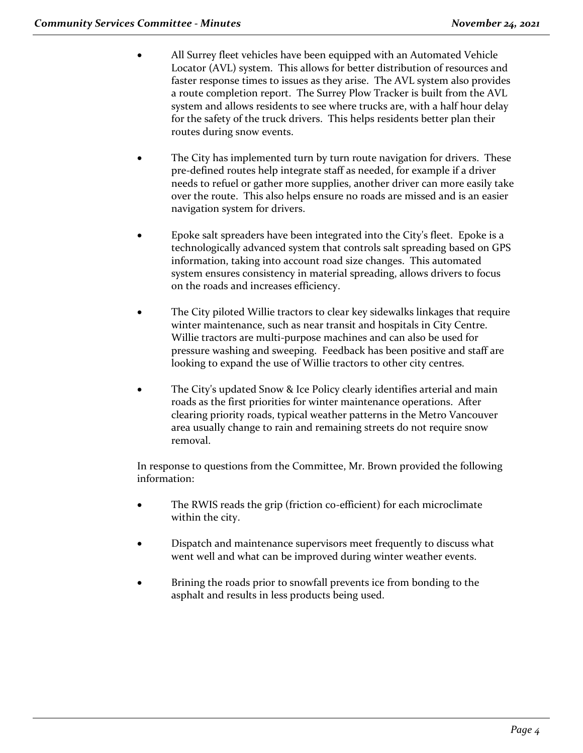- All Surrey fleet vehicles have been equipped with an Automated Vehicle Locator (AVL) system. This allows for better distribution of resources and faster response times to issues as they arise. The AVL system also provides a route completion report. The Surrey Plow Tracker is built from the AVL system and allows residents to see where trucks are, with a half hour delay for the safety of the truck drivers. This helps residents better plan their routes during snow events.
- The City has implemented turn by turn route navigation for drivers. These pre-defined routes help integrate staff as needed, for example if a driver needs to refuel or gather more supplies, another driver can more easily take over the route. This also helps ensure no roads are missed and is an easier navigation system for drivers.
- Epoke salt spreaders have been integrated into the City's fleet. Epoke is a technologically advanced system that controls salt spreading based on GPS information, taking into account road size changes. This automated system ensures consistency in material spreading, allows drivers to focus on the roads and increases efficiency.
- The City piloted Willie tractors to clear key sidewalks linkages that require winter maintenance, such as near transit and hospitals in City Centre. Willie tractors are multi-purpose machines and can also be used for pressure washing and sweeping. Feedback has been positive and staff are looking to expand the use of Willie tractors to other city centres.
- The City's updated Snow & Ice Policy clearly identifies arterial and main roads as the first priorities for winter maintenance operations. After clearing priority roads, typical weather patterns in the Metro Vancouver area usually change to rain and remaining streets do not require snow removal.

In response to questions from the Committee, Mr. Brown provided the following information:

- The RWIS reads the grip (friction co-efficient) for each microclimate within the city.
- Dispatch and maintenance supervisors meet frequently to discuss what went well and what can be improved during winter weather events.
- Brining the roads prior to snowfall prevents ice from bonding to the asphalt and results in less products being used.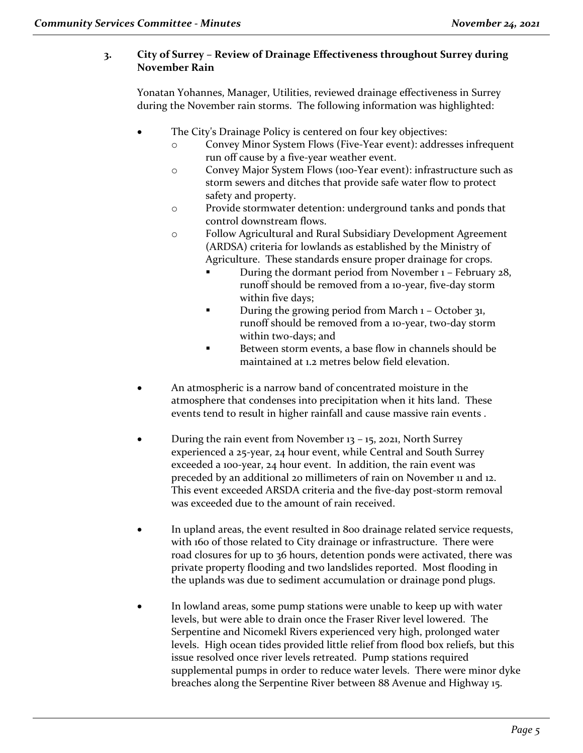# **3. City of Surrey – Review of Drainage Effectiveness throughout Surrey during November Rain**

Yonatan Yohannes, Manager, Utilities, reviewed drainage effectiveness in Surrey during the November rain storms. The following information was highlighted:

- The City's Drainage Policy is centered on four key objectives:
	- o Convey Minor System Flows (Five-Year event): addresses infrequent run off cause by a five-year weather event.
	- o Convey Major System Flows (100-Year event): infrastructure such as storm sewers and ditches that provide safe water flow to protect safety and property.
	- o Provide stormwater detention: underground tanks and ponds that control downstream flows.
	- o Follow Agricultural and Rural Subsidiary Development Agreement (ARDSA) criteria for lowlands as established by the Ministry of Agriculture. These standards ensure proper drainage for crops.
		- During the dormant period from November 1 February 28, runoff should be removed from a 10-year, five-day storm within five days;
		- During the growing period from March  $1 -$ October 31, runoff should be removed from a 10-year, two-day storm within two-days; and
		- Between storm events, a base flow in channels should be maintained at 1.2 metres below field elevation.
- An atmospheric is a narrow band of concentrated moisture in the atmosphere that condenses into precipitation when it hits land. These events tend to result in higher rainfall and cause massive rain events .
- During the rain event from November 13 15, 2021, North Surrey experienced a 25-year, 24 hour event, while Central and South Surrey exceeded a 100-year, 24 hour event. In addition, the rain event was preceded by an additional 20 millimeters of rain on November 11 and 12. This event exceeded ARSDA criteria and the five-day post-storm removal was exceeded due to the amount of rain received.
- In upland areas, the event resulted in 800 drainage related service requests, with 160 of those related to City drainage or infrastructure. There were road closures for up to 36 hours, detention ponds were activated, there was private property flooding and two landslides reported. Most flooding in the uplands was due to sediment accumulation or drainage pond plugs.
- In lowland areas, some pump stations were unable to keep up with water levels, but were able to drain once the Fraser River level lowered. The Serpentine and Nicomekl Rivers experienced very high, prolonged water levels. High ocean tides provided little relief from flood box reliefs, but this issue resolved once river levels retreated. Pump stations required supplemental pumps in order to reduce water levels. There were minor dyke breaches along the Serpentine River between 88 Avenue and Highway 15.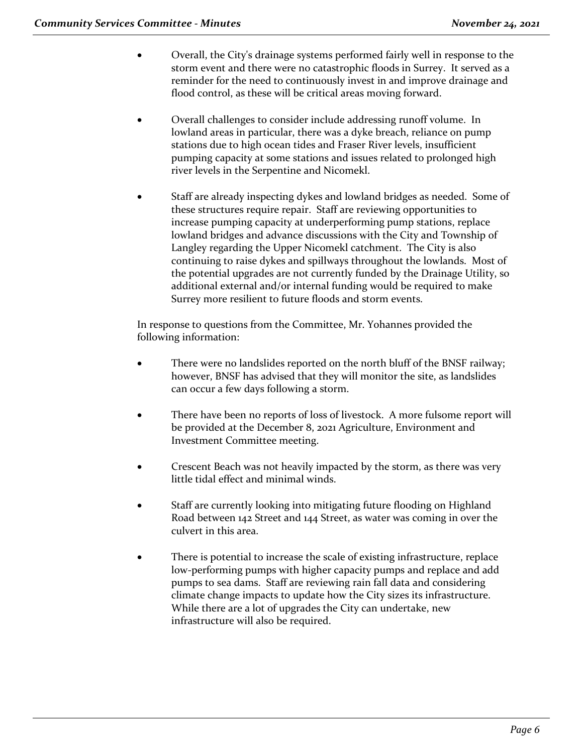- Overall, the City's drainage systems performed fairly well in response to the storm event and there were no catastrophic floods in Surrey. It served as a reminder for the need to continuously invest in and improve drainage and flood control, as these will be critical areas moving forward.
- Overall challenges to consider include addressing runoff volume. In lowland areas in particular, there was a dyke breach, reliance on pump stations due to high ocean tides and Fraser River levels, insufficient pumping capacity at some stations and issues related to prolonged high river levels in the Serpentine and Nicomekl.
- Staff are already inspecting dykes and lowland bridges as needed. Some of these structures require repair. Staff are reviewing opportunities to increase pumping capacity at underperforming pump stations, replace lowland bridges and advance discussions with the City and Township of Langley regarding the Upper Nicomekl catchment. The City is also continuing to raise dykes and spillways throughout the lowlands. Most of the potential upgrades are not currently funded by the Drainage Utility, so additional external and/or internal funding would be required to make Surrey more resilient to future floods and storm events.

In response to questions from the Committee, Mr. Yohannes provided the following information:

- There were no landslides reported on the north bluff of the BNSF railway; however, BNSF has advised that they will monitor the site, as landslides can occur a few days following a storm.
- There have been no reports of loss of livestock. A more fulsome report will be provided at the December 8, 2021 Agriculture, Environment and Investment Committee meeting.
- Crescent Beach was not heavily impacted by the storm, as there was very little tidal effect and minimal winds.
- Staff are currently looking into mitigating future flooding on Highland Road between 142 Street and 144 Street, as water was coming in over the culvert in this area.
- There is potential to increase the scale of existing infrastructure, replace low-performing pumps with higher capacity pumps and replace and add pumps to sea dams. Staff are reviewing rain fall data and considering climate change impacts to update how the City sizes its infrastructure. While there are a lot of upgrades the City can undertake, new infrastructure will also be required.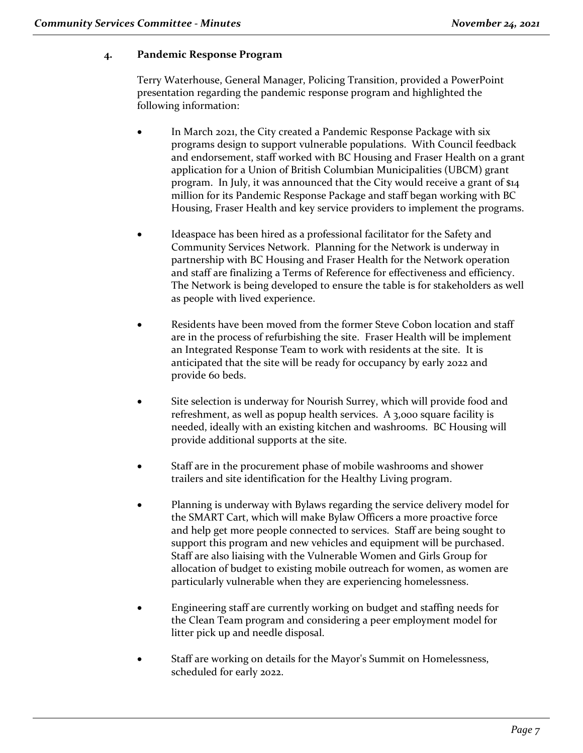# **4. Pandemic Response Program**

Terry Waterhouse, General Manager, Policing Transition, provided a PowerPoint presentation regarding the pandemic response program and highlighted the following information:

- In March 2021, the City created a Pandemic Response Package with six programs design to support vulnerable populations. With Council feedback and endorsement, staff worked with BC Housing and Fraser Health on a grant application for a Union of British Columbian Municipalities (UBCM) grant program. In July, it was announced that the City would receive a grant of \$14 million for its Pandemic Response Package and staff began working with BC Housing, Fraser Health and key service providers to implement the programs.
- Ideaspace has been hired as a professional facilitator for the Safety and Community Services Network. Planning for the Network is underway in partnership with BC Housing and Fraser Health for the Network operation and staff are finalizing a Terms of Reference for effectiveness and efficiency. The Network is being developed to ensure the table is for stakeholders as well as people with lived experience.
- Residents have been moved from the former Steve Cobon location and staff are in the process of refurbishing the site. Fraser Health will be implement an Integrated Response Team to work with residents at the site. It is anticipated that the site will be ready for occupancy by early 2022 and provide 60 beds.
- Site selection is underway for Nourish Surrey, which will provide food and refreshment, as well as popup health services. A 3,000 square facility is needed, ideally with an existing kitchen and washrooms. BC Housing will provide additional supports at the site.
- Staff are in the procurement phase of mobile washrooms and shower trailers and site identification for the Healthy Living program.
- Planning is underway with Bylaws regarding the service delivery model for the SMART Cart, which will make Bylaw Officers a more proactive force and help get more people connected to services. Staff are being sought to support this program and new vehicles and equipment will be purchased. Staff are also liaising with the Vulnerable Women and Girls Group for allocation of budget to existing mobile outreach for women, as women are particularly vulnerable when they are experiencing homelessness.
- Engineering staff are currently working on budget and staffing needs for the Clean Team program and considering a peer employment model for litter pick up and needle disposal.
- Staff are working on details for the Mayor's Summit on Homelessness, scheduled for early 2022.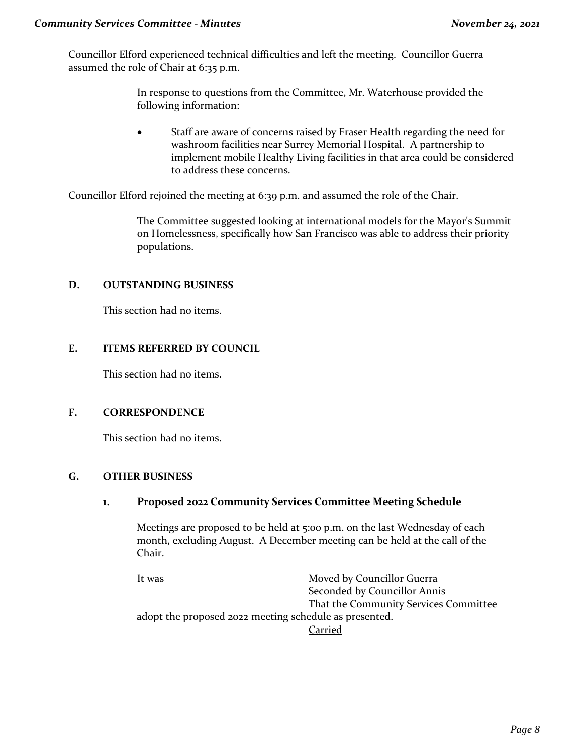Councillor Elford experienced technical difficulties and left the meeting. Councillor Guerra assumed the role of Chair at 6:35 p.m.

> In response to questions from the Committee, Mr. Waterhouse provided the following information:

• Staff are aware of concerns raised by Fraser Health regarding the need for washroom facilities near Surrey Memorial Hospital. A partnership to implement mobile Healthy Living facilities in that area could be considered to address these concerns.

Councillor Elford rejoined the meeting at 6:39 p.m. and assumed the role of the Chair.

The Committee suggested looking at international models for the Mayor's Summit on Homelessness, specifically how San Francisco was able to address their priority populations.

#### **D. OUTSTANDING BUSINESS**

This section had no items.

### **E. ITEMS REFERRED BY COUNCIL**

This section had no items.

# **F. CORRESPONDENCE**

This section had no items.

# **G. OTHER BUSINESS**

# **1. Proposed 2022 Community Services Committee Meeting Schedule**

Meetings are proposed to be held at 5:00 p.m. on the last Wednesday of each month, excluding August. A December meeting can be held at the call of the Chair.

It was **Moved by Councillor Guerra** Seconded by Councillor Annis That the Community Services Committee adopt the proposed 2022 meeting schedule as presented. Carried